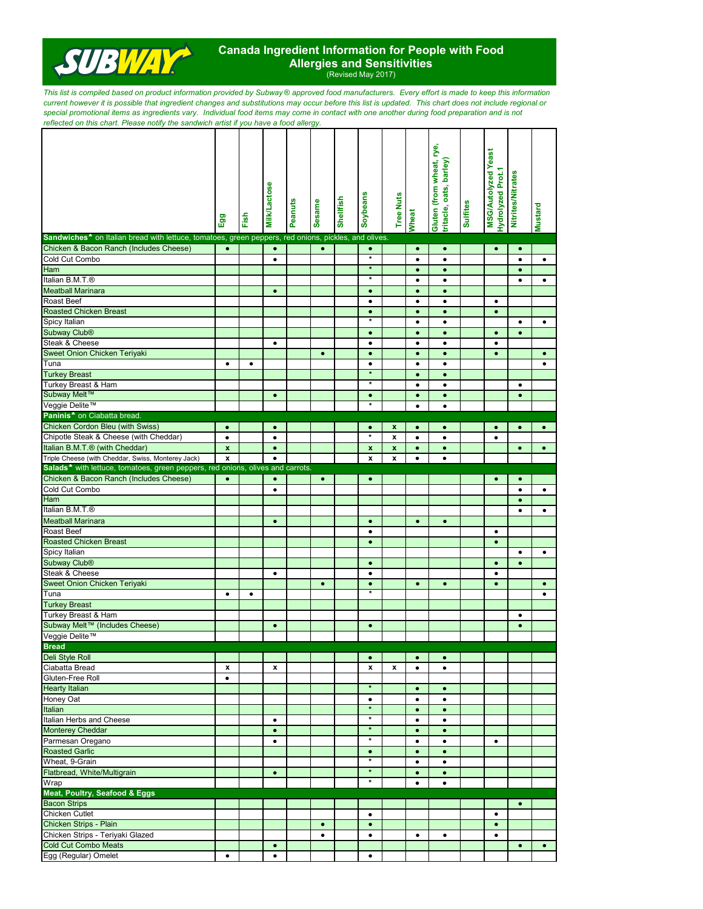

## **Canada Ingredient Information for People with Food Allergies and Sensitivities** (Revised May 2017)

*This list is compiled based on product information provided by Subway* ® *approved food manufacturers. Every effort is made to keep this information current however it is possible that ingredient changes and substitutions may occur before this list is updated. This chart does not include regional or special promotional items as ingredients vary. Individual food items may come in contact with one another during food preparation and is not reflected on this chart. Please notify the sandwich artist if you have a food allergy.*

|                                                                                                                  | Egg                | Fish      | <b>Milk/Lactose</b> | Peanuts | <b>Sesame</b> | Shellfish | Soybeans             | <b>Tree Nuts</b>   | Wheat     | Gluten (from wheat, rye,<br>tritacle, oats, barley) | <b>Sulfites</b> | <b>MSG/Autolyzed Yeast</b><br>Hydrolyzed Prot.1 | <b>Nitrites/Nitrates</b> | <b>Mustard</b> |
|------------------------------------------------------------------------------------------------------------------|--------------------|-----------|---------------------|---------|---------------|-----------|----------------------|--------------------|-----------|-----------------------------------------------------|-----------------|-------------------------------------------------|--------------------------|----------------|
| Sandwiches <sup>4</sup> on Italian bread with lettuce, tomatoes, green peppers, red onions, pickles, and olives. |                    |           |                     |         |               |           |                      |                    |           |                                                     |                 |                                                 |                          |                |
| Chicken & Bacon Ranch (Includes Cheese)                                                                          | $\bullet$          |           | $\bullet$           |         | $\bullet$     |           | $\bullet$            |                    | $\bullet$ | $\bullet$                                           |                 | $\bullet$                                       | $\bullet$                |                |
| Cold Cut Combo                                                                                                   |                    |           | ٠                   |         |               |           | $\star$              |                    | ٠         | $\bullet$                                           |                 |                                                 | $\bullet$                | $\bullet$      |
| Ham                                                                                                              |                    |           |                     |         |               |           | $\star$              |                    | $\bullet$ | $\bullet$                                           |                 |                                                 | $\bullet$                |                |
| Italian B.M.T.®                                                                                                  |                    |           |                     |         |               |           | $\star$              |                    | ٠         | ٠                                                   |                 |                                                 | ٠                        | $\bullet$      |
| <b>Meatball Marinara</b>                                                                                         |                    |           | $\bullet$           |         |               |           | $\bullet$            |                    | $\bullet$ | $\bullet$                                           |                 |                                                 |                          |                |
| <b>Roast Beef</b>                                                                                                |                    |           |                     |         |               |           | $\bullet$            |                    | ٠         | $\bullet$                                           |                 | ٠                                               |                          |                |
| <b>Roasted Chicken Breast</b>                                                                                    |                    |           |                     |         |               |           | $\bullet$            |                    | $\bullet$ | $\bullet$                                           |                 | $\bullet$                                       |                          |                |
| Spicy Italian                                                                                                    |                    |           |                     |         |               |           | $\star$              |                    | ٠         | $\bullet$                                           |                 |                                                 | $\bullet$                | ٠              |
| Subway Club <sup>®</sup>                                                                                         |                    |           |                     |         |               |           | $\bullet$            |                    | $\bullet$ | $\bullet$                                           |                 | $\bullet$                                       | $\bullet$                |                |
| Steak & Cheese                                                                                                   |                    |           | $\bullet$           |         |               |           | $\bullet$            |                    | ٠         | $\bullet$                                           |                 | $\bullet$                                       |                          |                |
| Sweet Onion Chicken Teriyaki                                                                                     |                    |           |                     |         | $\bullet$     |           | $\bullet$            |                    | $\bullet$ | $\bullet$                                           |                 | $\bullet$                                       |                          | $\bullet$      |
| Tuna                                                                                                             | $\bullet$          | $\bullet$ |                     |         |               |           | $\bullet$            |                    | $\bullet$ | $\bullet$                                           |                 |                                                 |                          | $\bullet$      |
| <b>Turkey Breast</b>                                                                                             |                    |           |                     |         |               |           | $\star$              |                    | $\bullet$ | $\bullet$                                           |                 |                                                 |                          |                |
|                                                                                                                  |                    |           |                     |         |               |           | $\star$              |                    |           |                                                     |                 |                                                 |                          |                |
| Turkey Breast & Ham<br>Subway Melt™                                                                              |                    |           |                     |         |               |           |                      |                    | ٠         | $\bullet$                                           |                 |                                                 | $\bullet$                |                |
| Veggie Delite™                                                                                                   |                    |           | $\bullet$           |         |               |           | $\bullet$<br>$\star$ |                    | $\bullet$ | $\bullet$                                           |                 |                                                 | $\bullet$                |                |
|                                                                                                                  |                    |           |                     |         |               |           |                      |                    | ٠         | $\bullet$                                           |                 |                                                 |                          |                |
| Paninis <sup>4</sup> on Ciabatta bread.                                                                          |                    |           |                     |         |               |           |                      |                    |           |                                                     |                 |                                                 |                          |                |
| <b>Chicken Cordon Bleu (with Swiss)</b>                                                                          | $\bullet$          |           | $\bullet$           |         |               |           | $\bullet$            | x                  | $\bullet$ | $\bullet$                                           |                 | $\bullet$                                       | $\bullet$                | $\bullet$      |
| Chipotle Steak & Cheese (with Cheddar)                                                                           | $\bullet$          |           | $\bullet$           |         |               |           | $\star$              | x                  | $\bullet$ | $\bullet$                                           |                 | $\bullet$                                       |                          |                |
| Italian B.M.T.® (with Cheddar)                                                                                   | $\mathbf x$        |           | $\bullet$           |         |               |           | $\pmb{\mathsf{x}}$   | $\pmb{\mathsf{x}}$ | $\bullet$ | $\bullet$                                           |                 |                                                 | $\bullet$                | $\bullet$      |
| Triple Cheese (with Cheddar, Swiss, Monterey Jack)                                                               | $\pmb{\mathsf{x}}$ |           | $\bullet$           |         |               |           | $\pmb{\mathsf{x}}$   | x                  | $\bullet$ | $\bullet$                                           |                 |                                                 |                          |                |
| Salads <sup>*</sup> with lettuce, tomatoes, green peppers, red onions, olives and carrots                        |                    |           |                     |         |               |           |                      |                    |           |                                                     |                 |                                                 |                          |                |
| Chicken & Bacon Ranch (Includes Cheese)                                                                          | $\bullet$          |           | $\bullet$           |         | $\bullet$     |           | $\bullet$            |                    |           |                                                     |                 |                                                 | $\bullet$                |                |
| Cold Cut Combo                                                                                                   |                    |           | ٠                   |         |               |           |                      |                    |           |                                                     |                 |                                                 | $\bullet$                | $\bullet$      |
| Ham                                                                                                              |                    |           |                     |         |               |           |                      |                    |           |                                                     |                 |                                                 | $\bullet$                |                |
| Italian B.M.T.®                                                                                                  |                    |           |                     |         |               |           |                      |                    |           |                                                     |                 |                                                 | $\bullet$                | $\bullet$      |
| <b>Meatball Marinara</b>                                                                                         |                    |           | $\bullet$           |         |               |           | $\bullet$            |                    | $\bullet$ | $\bullet$                                           |                 |                                                 |                          |                |
| <b>Roast Beef</b>                                                                                                |                    |           |                     |         |               |           | $\bullet$            |                    |           |                                                     |                 | $\bullet$                                       |                          |                |
| <b>Roasted Chicken Breast</b>                                                                                    |                    |           |                     |         |               |           | ۰                    |                    |           |                                                     |                 | $\bullet$                                       |                          |                |
| Spicy Italian                                                                                                    |                    |           |                     |         |               |           |                      |                    |           |                                                     |                 |                                                 | $\bullet$                | $\bullet$      |
| Subway Club <sup>®</sup>                                                                                         |                    |           |                     |         |               |           | $\bullet$            |                    |           |                                                     |                 | $\bullet$                                       | $\bullet$                |                |
| Steak & Cheese                                                                                                   |                    |           | ٠                   |         |               |           | $\bullet$            |                    |           |                                                     |                 | ٠                                               |                          |                |
| Sweet Onion Chicken Teriyaki                                                                                     |                    |           |                     |         | $\bullet$     |           | $\bullet$            |                    | $\bullet$ | $\bullet$                                           |                 | $\bullet$                                       |                          | $\bullet$      |
| Tuna                                                                                                             | $\bullet$          | $\bullet$ |                     |         |               |           | $\star$              |                    |           |                                                     |                 |                                                 |                          | $\bullet$      |
| <b>Turkey Breast</b>                                                                                             |                    |           |                     |         |               |           |                      |                    |           |                                                     |                 |                                                 |                          |                |
| Turkey Breast & Ham                                                                                              |                    |           |                     |         |               |           |                      |                    |           |                                                     |                 |                                                 | $\bullet$                |                |
| Subway Melt™ (Includes Cheese)                                                                                   |                    |           | $\bullet$           |         |               |           | $\bullet$            |                    |           |                                                     |                 |                                                 | $\bullet$                |                |
| Veggie Delite™                                                                                                   |                    |           |                     |         |               |           |                      |                    |           |                                                     |                 |                                                 |                          |                |
| <b>Bread</b>                                                                                                     |                    |           |                     |         |               |           |                      |                    |           |                                                     |                 |                                                 |                          |                |
| <b>Deli Style Roll</b>                                                                                           |                    |           |                     |         |               |           | $\bullet$            |                    | $\bullet$ | $\bullet$                                           |                 |                                                 |                          |                |
| Ciabatta Bread                                                                                                   |                    |           | x                   |         |               |           | $\pmb{\mathsf{x}}$   | x                  |           |                                                     |                 |                                                 |                          |                |
| Gluten-Free Roll                                                                                                 | x<br>$\bullet$     |           |                     |         |               |           |                      |                    | ٠         | $\bullet$                                           |                 |                                                 |                          |                |
| <b>Hearty Italian</b>                                                                                            |                    |           |                     |         |               |           | $\star$              |                    |           |                                                     |                 |                                                 |                          |                |
|                                                                                                                  |                    |           |                     |         |               |           |                      |                    | $\bullet$ | $\bullet$                                           |                 |                                                 |                          |                |
| Honey Oat                                                                                                        |                    |           |                     |         |               |           | $\bullet$<br>$\star$ |                    | $\bullet$ | $\bullet$                                           |                 |                                                 |                          |                |
| Italian                                                                                                          |                    |           |                     |         |               |           | $\star$              |                    | $\bullet$ | $\bullet$                                           |                 |                                                 |                          |                |
| Italian Herbs and Cheese                                                                                         |                    |           | $\bullet$           |         |               |           | $\star$              |                    | $\bullet$ | $\bullet$                                           |                 |                                                 |                          |                |
| <b>Monterey Cheddar</b>                                                                                          |                    |           | $\bullet$           |         |               |           |                      |                    | $\bullet$ | $\bullet$                                           |                 |                                                 |                          |                |
| Parmesan Oregano                                                                                                 |                    |           | $\bullet$           |         |               |           | $\star$              |                    | $\bullet$ | $\bullet$                                           |                 | $\bullet$                                       |                          |                |
| <b>Roasted Garlic</b>                                                                                            |                    |           |                     |         |               |           | $\bullet$            |                    | $\bullet$ | $\bullet$                                           |                 |                                                 |                          |                |
| Wheat, 9-Grain                                                                                                   |                    |           |                     |         |               |           | $\star$              |                    | ٠         | $\bullet$                                           |                 |                                                 |                          |                |
| Flatbread, White/Multigrain                                                                                      |                    |           | $\bullet$           |         |               |           | $\star$              |                    | $\bullet$ | $\bullet$                                           |                 |                                                 |                          |                |
| Wrap                                                                                                             |                    |           |                     |         |               |           | $\star$              |                    | ٠         | $\bullet$                                           |                 |                                                 |                          |                |
| Meat, Poultry, Seafood & Eggs                                                                                    |                    |           |                     |         |               |           |                      |                    |           |                                                     |                 |                                                 |                          |                |
| <b>Bacon Strips</b>                                                                                              |                    |           |                     |         |               |           |                      |                    |           |                                                     |                 |                                                 | $\bullet$                |                |
| Chicken Cutlet                                                                                                   |                    |           |                     |         |               |           | $\bullet$            |                    |           |                                                     |                 | $\bullet$                                       |                          |                |
| Chicken Strips - Plain                                                                                           |                    |           |                     |         | $\bullet$     |           | $\bullet$            |                    |           |                                                     |                 | $\bullet$                                       |                          |                |
| Chicken Strips - Teriyaki Glazed                                                                                 |                    |           |                     |         | $\bullet$     |           | $\bullet$            |                    | $\bullet$ | $\bullet$                                           |                 | $\bullet$                                       |                          |                |
| <b>Cold Cut Combo Meats</b>                                                                                      |                    |           | $\bullet$           |         |               |           |                      |                    |           |                                                     |                 |                                                 | $\bullet$                | $\bullet$      |
| Egg (Regular) Omelet                                                                                             | $\bullet$          |           | ٠                   |         |               |           | $\bullet$            |                    |           |                                                     |                 |                                                 |                          |                |